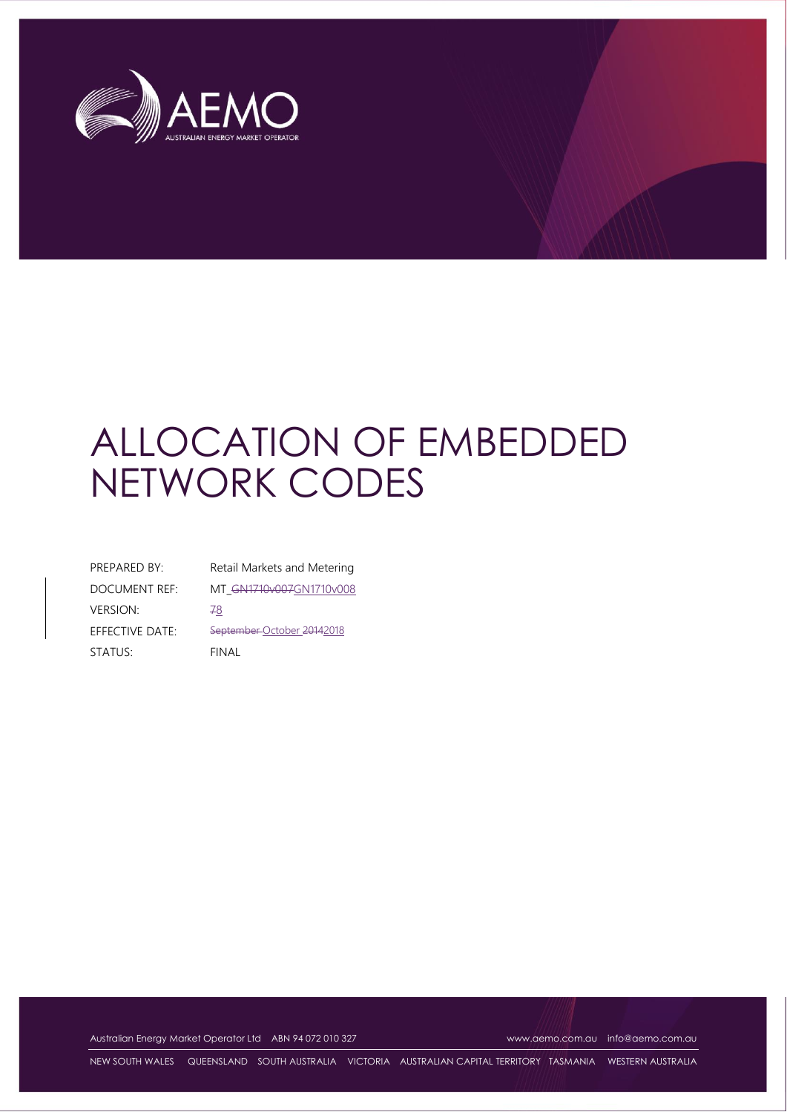

# ALLOCATION OF EMBEDDED NETWORK CODES

| PREPARED BY:         | Retail Mar   |
|----------------------|--------------|
| <b>DOCUMENT REF:</b> | MT GN17      |
| <b>VERSION:</b>      | 78           |
| EFFECTIVE DATE:      | September    |
| STATUS:              | <b>FINAL</b> |
|                      |              |

rkets and Metering 10v007GN1710v008 -October 20142018

Australian Energy Market Operator Ltd ABN 94 072 010 327 [www.aemo.com.au](http://www.aemo.com.au/) [info@aemo.com.au](mailto:info@aemo.com.au) info@aemo.com.au

NEW SOUTH WALES QUEENSLAND SOUTH AUSTRALIA VICTORIA AUSTRALIAN CAPITAL TERRITORY TASMANIA WESTERN AUSTRALIA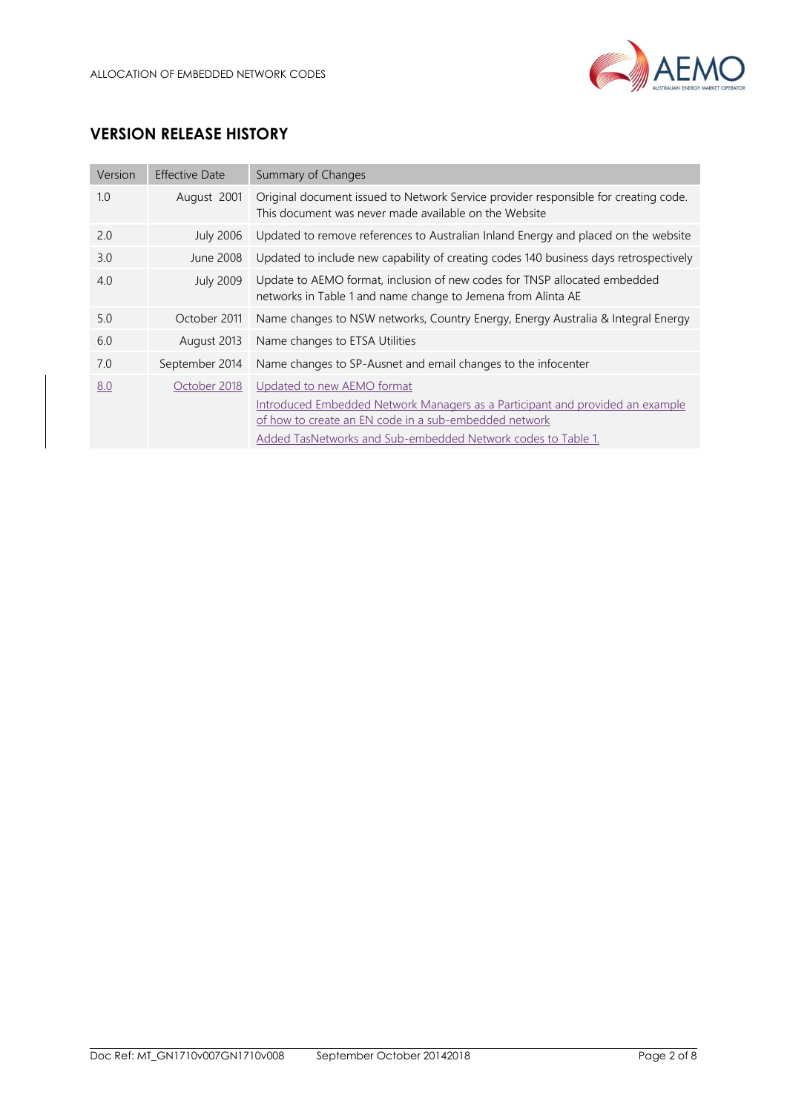

# **VERSION RELEASE HISTORY**

| Version | <b>Effective Date</b> | Summary of Changes                                                                                                                                                                                                                   |
|---------|-----------------------|--------------------------------------------------------------------------------------------------------------------------------------------------------------------------------------------------------------------------------------|
| 1.0     | August 2001           | Original document issued to Network Service provider responsible for creating code.<br>This document was never made available on the Website                                                                                         |
| 2.0     | <b>July 2006</b>      | Updated to remove references to Australian Inland Energy and placed on the website                                                                                                                                                   |
| 3.0     | June 2008             | Updated to include new capability of creating codes 140 business days retrospectively                                                                                                                                                |
| 4.0     | <b>July 2009</b>      | Update to AEMO format, inclusion of new codes for TNSP allocated embedded<br>networks in Table 1 and name change to Jemena from Alinta AE                                                                                            |
| 5.0     | October 2011          | Name changes to NSW networks, Country Energy, Energy Australia & Integral Energy                                                                                                                                                     |
| 6.0     | August 2013           | Name changes to ETSA Utilities                                                                                                                                                                                                       |
| 7.0     | September 2014        | Name changes to SP-Ausnet and email changes to the infocenter                                                                                                                                                                        |
| 8.0     | October 2018          | Updated to new AEMO format<br>Introduced Embedded Network Managers as a Participant and provided an example<br>of how to create an EN code in a sub-embedded network<br>Added TasNetworks and Sub-embedded Network codes to Table 1. |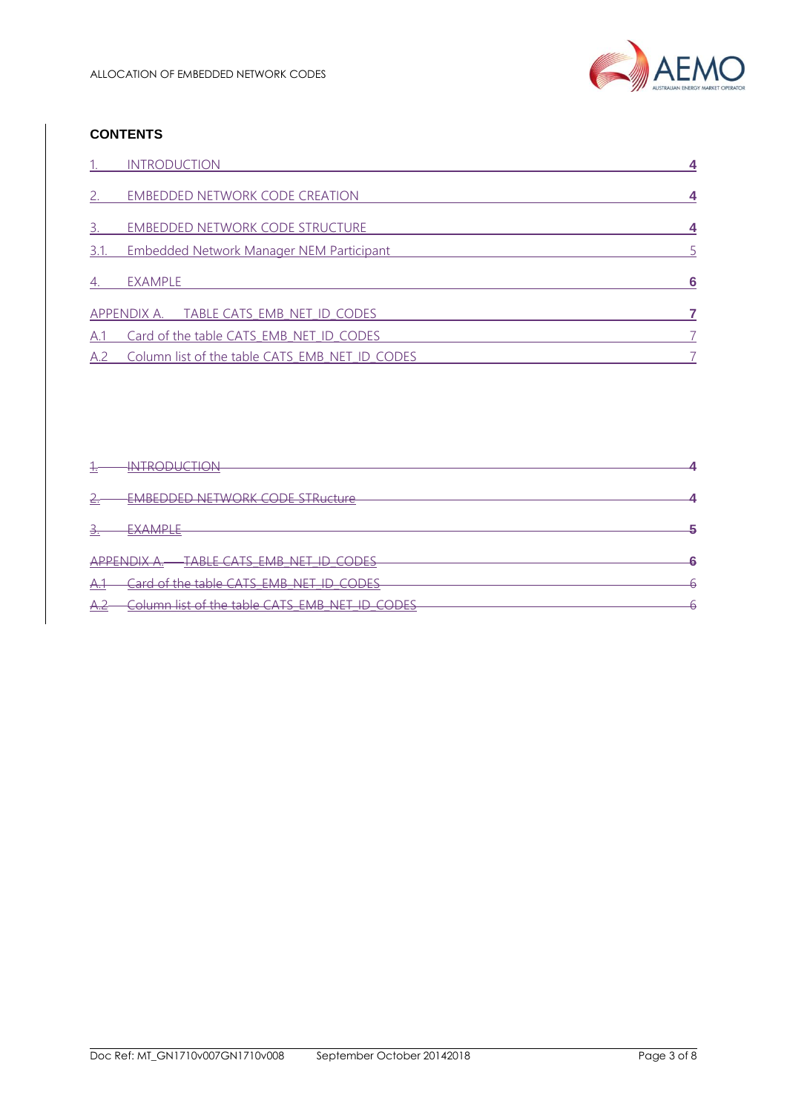

## **CONTENTS**

|                             | <b>INTRODUCTION</b>                             |    |
|-----------------------------|-------------------------------------------------|----|
| $\mathcal{P}_{\mathcal{C}}$ | <b>EMBEDDED NETWORK CODE CREATION</b>           |    |
| 3.                          | EMBEDDED NETWORK CODE STRUCTURE                 |    |
| 3.1.                        | <b>Embedded Network Manager NEM Participant</b> |    |
| 4.                          | EXAMPLE                                         | -6 |
|                             | APPENDIX A. TABLE CATS EMB NET ID CODES         |    |
| A.1                         | Card of the table CATS EMB NET ID CODES         |    |
| A.2                         | Column list of the table CATS EMB NET ID CODES  |    |

| ٠.                  | TDANI ICTIAN<br>$\overline{N}$<br><del>intropognon</del>                                                                                |  |
|---------------------|-----------------------------------------------------------------------------------------------------------------------------------------|--|
|                     |                                                                                                                                         |  |
| c.                  | <u>EMREDDED NETWORK CODE STRucture</u><br>EMPERIE NE IVOIN COPE JENGGUIO                                                                |  |
|                     |                                                                                                                                         |  |
| Э.                  | EVAMDI F<br>$-7$ V V V II $ -$                                                                                                          |  |
|                     |                                                                                                                                         |  |
|                     | TARLE CATS EMP NET IN CONES<br>ADDENINIV A<br><del>LIVO 17 \ 7 \.</del><br>1 <del>0 CODEJ</del><br><b>CIVIL ALL</b><br><del>- 775</del> |  |
| –∆≏<br>$\tau$       | Card of the table CATS FMR NET ID CODES<br><del>כמוט טו נוזכ נמטוס כו <i>ז</i>וס בוזוט וזכר וט כסטבס</del>                              |  |
| $\Lambda$<br>$+1.6$ | Column list of the table CATS EMB NET ID CODES                                                                                          |  |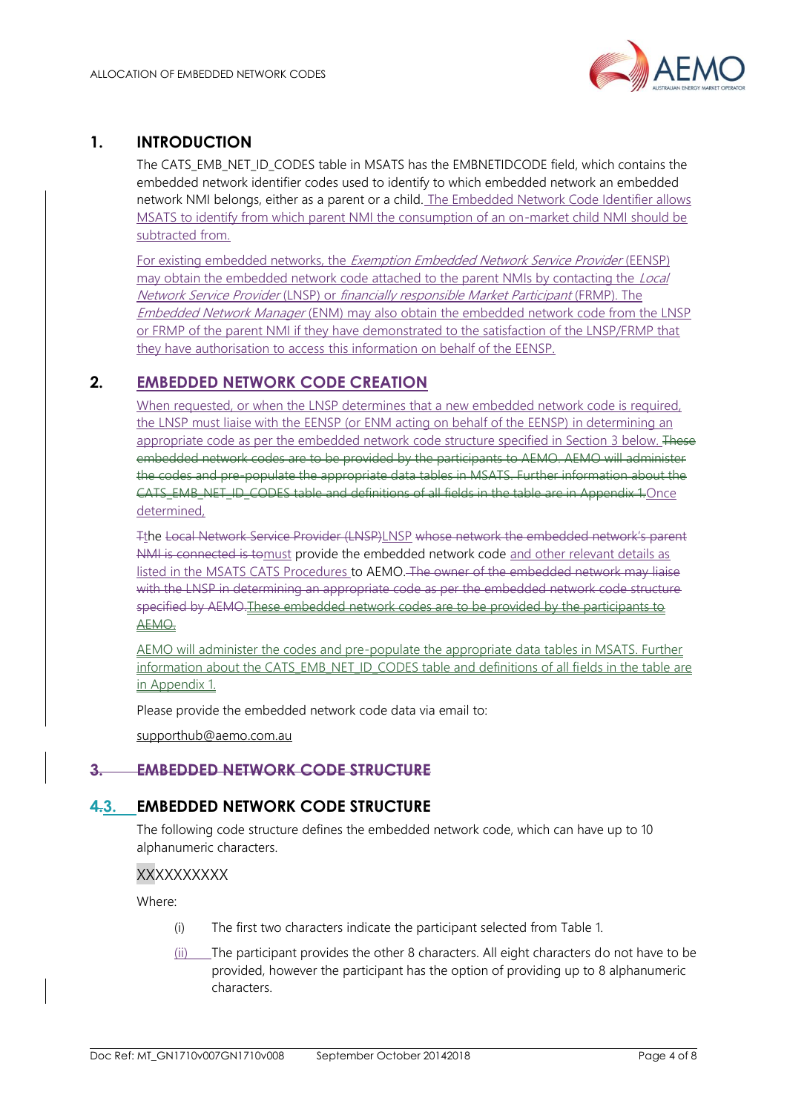

## <span id="page-3-0"></span>**1. INTRODUCTION**

The CATS\_EMB\_NET\_ID\_CODES table in MSATS has the EMBNETIDCODE field, which contains the embedded network identifier codes used to identify to which embedded network an embedded network NMI belongs, either as a parent or a child. The Embedded Network Code Identifier allows MSATS to identify from which parent NMI the consumption of an on-market child NMI should be subtracted from.

For existing embedded networks, the Exemption Embedded Network Service Provider (EENSP) may obtain the embedded network code attached to the parent NMIs by contacting the Local Network Service Provider (LNSP) or financially responsible Market Participant (FRMP). The Embedded Network Manager (ENM) may also obtain the embedded network code from the LNSP or FRMP of the parent NMI if they have demonstrated to the satisfaction of the LNSP/FRMP that they have authorisation to access this information on behalf of the EENSP.

# <span id="page-3-1"></span>**2. EMBEDDED NETWORK CODE CREATION**

When requested, or when the LNSP determines that a new embedded network code is required, the LNSP must liaise with the EENSP (or ENM acting on behalf of the EENSP) in determining an appropriate code as per the embedded network code structure specified in Section 3 below. These embedded network codes are to be provided by the participants to AEMO. AEMO will administer the codes and pre-populate the appropriate data tables in MSATS. Further information about the CATS EMB\_NET\_ID\_CODES table and definitions of all fields in the table are in Appendix 1.Once determined,

Tthe Local Network Service Provider (LNSP)LNSP whose network the embedded network's parent NMI is connected is tomust provide the embedded network code and other relevant details as listed in the MSATS CATS Procedures to AEMO. The owner of the embedded network may liaise with the LNSP in determining an appropriate code as per the embedded network code structure specified by AEMO.These embedded network codes are to be provided by the participants to AEMO.

AEMO will administer the codes and pre-populate the appropriate data tables in MSATS. Further information about the CATS\_EMB\_NET\_ID\_CODES table and definitions of all fields in the table are in Appendix 1.

Please provide the embedded network code data via email to:

[supporthub@aemo.com.au](mailto:supporthub@aemo.com.au)

## **3. EMBEDDED NETWORK CODE STRUCTURE**

## <span id="page-3-2"></span>**4.3. EMBEDDED NETWORK CODE STRUCTURE**

The following code structure defines the embedded network code, which can have up to 10 alphanumeric characters.

### **XXXXXXXXX**

Where:

- (i) The first two characters indicate the participant selected from Table 1.
- (ii) The participant provides the other 8 characters. All eight characters do not have to be provided, however the participant has the option of providing up to 8 alphanumeric characters.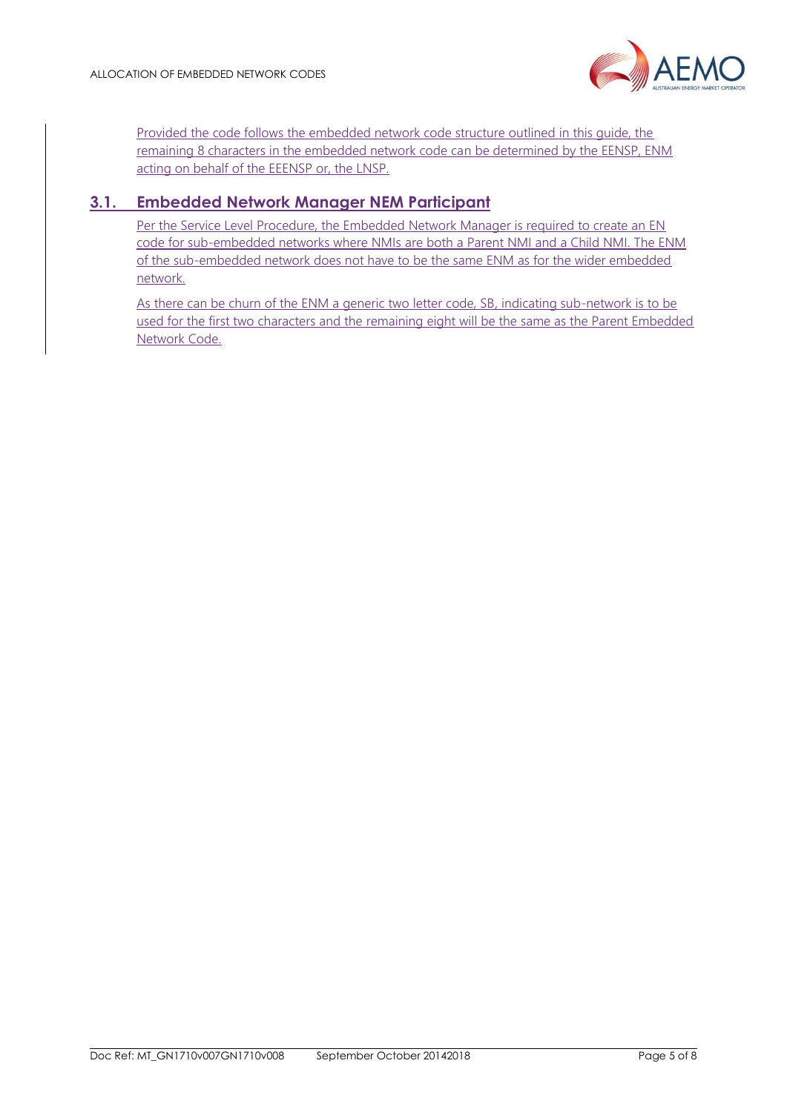

Provided the code follows the embedded network code structure outlined in this guide, the remaining 8 characters in the embedded network code can be determined by the EENSP, ENM acting on behalf of the EEENSP or, the LNSP.

# <span id="page-4-0"></span>**3.1. Embedded Network Manager NEM Participant**

Per the Service Level Procedure, the Embedded Network Manager is required to create an EN code for sub-embedded networks where NMIs are both a Parent NMI and a Child NMI. The ENM of the sub-embedded network does not have to be the same ENM as for the wider embedded network.

As there can be churn of the ENM a generic two letter code, SB, indicating sub-network is to be used for the first two characters and the remaining eight will be the same as the Parent Embedded Network Code.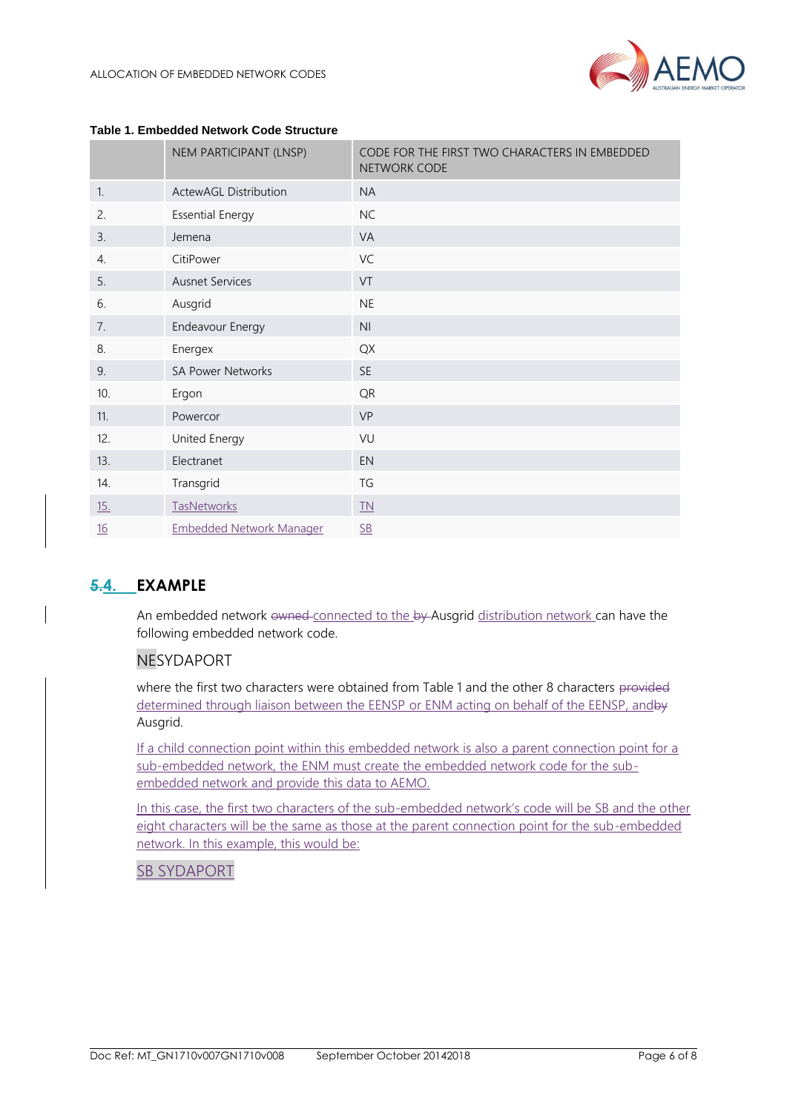

|                  | NEM PARTICIPANT (LNSP)          | CODE FOR THE FIRST TWO CHARACTERS IN EMBEDDED<br>NETWORK CODE |  |  |  |  |
|------------------|---------------------------------|---------------------------------------------------------------|--|--|--|--|
| $\mathbf{1}$ .   | <b>ActewAGL Distribution</b>    | <b>NA</b>                                                     |  |  |  |  |
| 2.               | <b>Essential Energy</b>         | <b>NC</b>                                                     |  |  |  |  |
| 3.               | Jemena                          | VA                                                            |  |  |  |  |
| $\overline{4}$ . | CitiPower                       | VC                                                            |  |  |  |  |
| 5.               | <b>Ausnet Services</b>          | VT                                                            |  |  |  |  |
| 6.               | Ausgrid                         | NE                                                            |  |  |  |  |
| 7.               | Endeavour Energy                | N <sub>l</sub>                                                |  |  |  |  |
| 8.               | Energex                         | QX                                                            |  |  |  |  |
| 9.               | <b>SA Power Networks</b>        | <b>SE</b>                                                     |  |  |  |  |
| 10.              | Ergon                           | QR                                                            |  |  |  |  |
| 11.              | Powercor                        | <b>VP</b>                                                     |  |  |  |  |
| 12.              | United Energy                   | VU                                                            |  |  |  |  |
| 13.              | Electranet                      | EN                                                            |  |  |  |  |
| 14.              | Transgrid                       | TG                                                            |  |  |  |  |
| <u>15.</u>       | <b>TasNetworks</b>              | IN                                                            |  |  |  |  |
| 16               | <b>Embedded Network Manager</b> | S <sub>B</sub>                                                |  |  |  |  |

#### **Table 1. Embedded Network Code Structure**

## <span id="page-5-0"></span>**5.4. EXAMPLE**

An embedded network owned connected to the by Ausgrid distribution network can have the following embedded network code.

## NESYDAPORT

where the first two characters were obtained from Table 1 and the other 8 characters provided determined through liaison between the EENSP or ENM acting on behalf of the EENSP, and by Ausgrid.

If a child connection point within this embedded network is also a parent connection point for a sub-embedded network, the ENM must create the embedded network code for the subembedded network and provide this data to AEMO.

In this case, the first two characters of the sub-embedded network's code will be SB and the other eight characters will be the same as those at the parent connection point for the sub-embedded network. In this example, this would be:

## SB SYDAPORT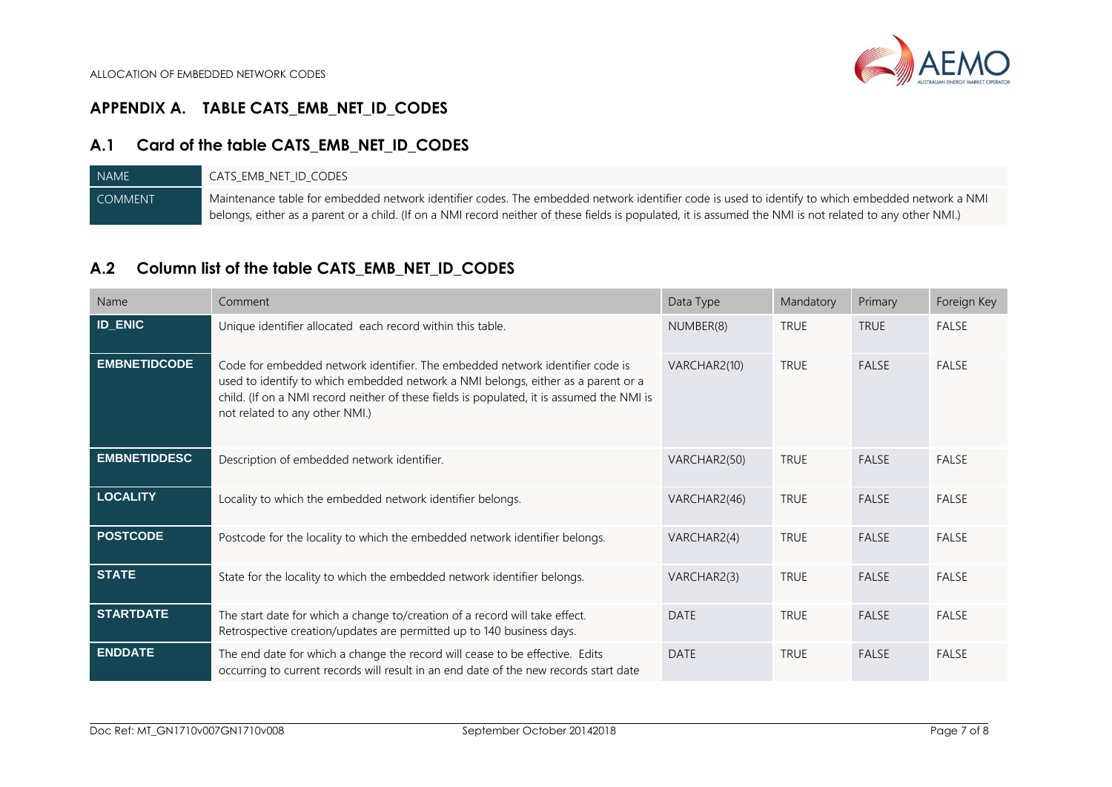# **APPENDIX A. TABLE CATS\_EMB\_NET\_ID\_CODES**

## **A.1 Card of the table CATS\_EMB\_NET\_ID\_CODES**

| NAME <sup>T</sup> | cats emb net id codes                                                                                                                                     |
|-------------------|-----------------------------------------------------------------------------------------------------------------------------------------------------------|
| <b>COMMENT</b>    | Maintenance table for embedded network identifier codes. The embedded network identifier code is used to identify to which embedded network a NMI         |
|                   | belongs, either as a parent or a child. (If on a NMI record neither of these fields is populated, it is assumed the NMI is not related to any other NMI.) |

## **A.2 Column list of the table CATS\_EMB\_NET\_ID\_CODES**

<span id="page-6-2"></span><span id="page-6-1"></span><span id="page-6-0"></span>

| Name                | Comment                                                                                                                                                                                                                                                                                           | Data Type    | Mandatory   | Primary      | Foreign Key  |
|---------------------|---------------------------------------------------------------------------------------------------------------------------------------------------------------------------------------------------------------------------------------------------------------------------------------------------|--------------|-------------|--------------|--------------|
| <b>ID_ENIC</b>      | Unique identifier allocated each record within this table.                                                                                                                                                                                                                                        | NUMBER(8)    | <b>TRUE</b> | <b>TRUE</b>  | FALSE        |
| <b>EMBNETIDCODE</b> | Code for embedded network identifier. The embedded network identifier code is<br>used to identify to which embedded network a NMI belongs, either as a parent or a<br>child. (If on a NMI record neither of these fields is populated, it is assumed the NMI is<br>not related to any other NMI.) | VARCHAR2(10) | <b>TRUE</b> | <b>FALSE</b> | <b>FALSE</b> |
| <b>EMBNETIDDESC</b> | Description of embedded network identifier.                                                                                                                                                                                                                                                       | VARCHAR2(50) | <b>TRUE</b> | <b>FALSE</b> | <b>FALSE</b> |
| <b>LOCALITY</b>     | Locality to which the embedded network identifier belongs.                                                                                                                                                                                                                                        | VARCHAR2(46) | <b>TRUE</b> | <b>FALSE</b> | <b>FALSE</b> |
| <b>POSTCODE</b>     | Postcode for the locality to which the embedded network identifier belongs.                                                                                                                                                                                                                       | VARCHAR2(4)  | <b>TRUE</b> | <b>FALSE</b> | FALSE        |
| <b>STATE</b>        | State for the locality to which the embedded network identifier belongs.                                                                                                                                                                                                                          | VARCHAR2(3)  | <b>TRUE</b> | <b>FALSE</b> | <b>FALSE</b> |
| <b>STARTDATE</b>    | The start date for which a change to/creation of a record will take effect.<br>Retrospective creation/updates are permitted up to 140 business days.                                                                                                                                              | <b>DATE</b>  | <b>TRUE</b> | <b>FALSE</b> | <b>FALSE</b> |
| <b>ENDDATE</b>      | The end date for which a change the record will cease to be effective. Edits<br>occurring to current records will result in an end date of the new records start date                                                                                                                             | <b>DATE</b>  | <b>TRUE</b> | FALSE        | <b>FALSE</b> |